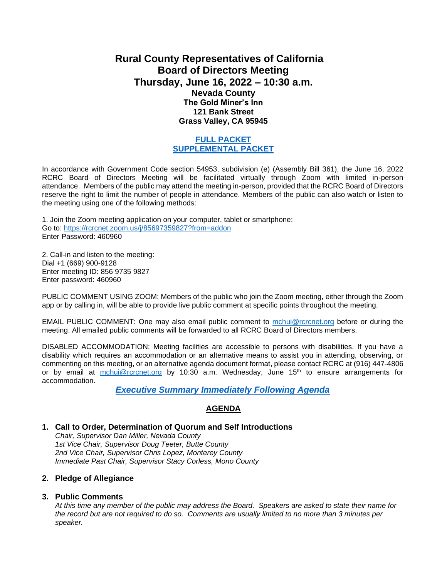# **Rural County Representatives of California Board of Directors Meeting Thursday, June 16, 2022 – 10:30 a.m. Nevada County The Gold Miner's Inn 121 Bank Street Grass Valley, CA 95945**

## **[FULL PACKET](https://www.rcrcnet.org/sites/default/files/useruploads/Meetings/Board_of_Directors/2022/June_15_16_2022/6.16.2022_RCRC_BOD_Packet.pdf) [SUPPLEMENTAL PACKET](https://www.rcrcnet.org/sites/default/files/useruploads/Meetings/Board_of_Directors/2022/June_15_16_2022/6.16.2022_RCRC_BOD_Supplemental.pdf)**

In accordance with Government Code section 54953, subdivision (e) (Assembly Bill 361), the June 16, 2022 RCRC Board of Directors Meeting will be facilitated virtually through Zoom with limited in-person attendance. Members of the public may attend the meeting in-person, provided that the RCRC Board of Directors reserve the right to limit the number of people in attendance. Members of the public can also watch or listen to the meeting using one of the following methods:

1. Join the Zoom meeting application on your computer, tablet or smartphone: Go to:<https://rcrcnet.zoom.us/j/85697359827?from=addon> Enter Password: 460960

2. Call-in and listen to the meeting: Dial +1 (669) 900-9128 Enter meeting ID: 856 9735 9827 Enter password: 460960

PUBLIC COMMENT USING ZOOM: Members of the public who join the Zoom meeting, either through the Zoom app or by calling in, will be able to provide live public comment at specific points throughout the meeting.

EMAIL PUBLIC COMMENT: One may also email public comment to [mchui@rcrcnet.org](mailto:mchui@rcrcnet.org) before or during the meeting. All emailed public comments will be forwarded to all RCRC Board of Directors members.

DISABLED ACCOMMODATION: Meeting facilities are accessible to persons with disabilities. If you have a disability which requires an accommodation or an alternative means to assist you in attending, observing, or commenting on this meeting, or an alternative agenda document format, please contact RCRC at (916) 447-4806 or by email at [mchui@rcrcnet.org](mailto:mchui@rcrcnet.org) by 10:30 a.m. Wednesday, June  $15<sup>th</sup>$  to ensure arrangements for accommodation.

*[Executive Summary Immediately Following Agenda](https://www.rcrcnet.org/sites/default/files/useruploads/Meetings/Board_of_Directors/2022/June_15_16_2022/Executive_Summary_RCRC_BOD_June_16_2022.pdf)*

# **AGENDA**

#### **1. Call to Order, Determination of Quorum and Self Introductions**

*Chair, Supervisor Dan Miller, Nevada County 1st Vice Chair, Supervisor Doug Teeter, Butte County 2nd Vice Chair, Supervisor Chris Lopez, Monterey County Immediate Past Chair, Supervisor Stacy Corless, Mono County*

#### **2. Pledge of Allegiance**

#### **3. Public Comments**

*At this time any member of the public may address the Board. Speakers are asked to state their name for the record but are not required to do so. Comments are usually limited to no more than 3 minutes per speaker.*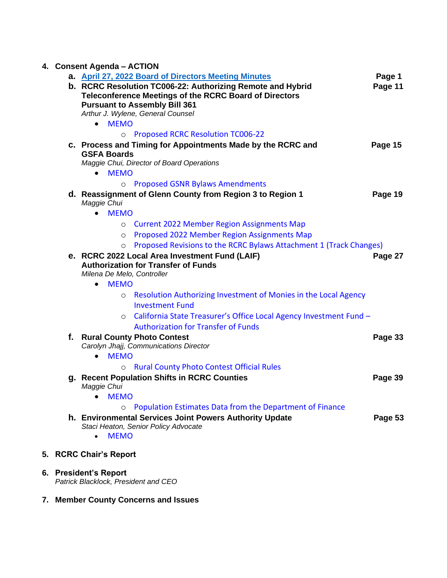# **4. Consent Agenda – ACTION**

|  | a. April 27, 2022 Board of Directors Meeting Minutes<br>b. RCRC Resolution TC006-22: Authorizing Remote and Hybrid<br>Teleconference Meetings of the RCRC Board of Directors<br><b>Pursuant to Assembly Bill 361</b> | Page 1<br>Page 11 |
|--|----------------------------------------------------------------------------------------------------------------------------------------------------------------------------------------------------------------------|-------------------|
|  | Arthur J. Wylene, General Counsel                                                                                                                                                                                    |                   |
|  | <b>MEMO</b><br>$\bullet$                                                                                                                                                                                             |                   |
|  | <b>Proposed RCRC Resolution TC006-22</b><br>$\circ$                                                                                                                                                                  |                   |
|  | c. Process and Timing for Appointments Made by the RCRC and<br><b>GSFA Boards</b><br>Maggie Chui, Director of Board Operations                                                                                       | Page 15           |
|  | <b>MEMO</b><br>$\bullet$                                                                                                                                                                                             |                   |
|  | <b>Proposed GSNR Bylaws Amendments</b><br>$\circ$                                                                                                                                                                    |                   |
|  | d. Reassignment of Glenn County from Region 3 to Region 1<br>Maggie Chui                                                                                                                                             | Page 19           |
|  | <b>MEMO</b><br>$\bullet$                                                                                                                                                                                             |                   |
|  | <b>Current 2022 Member Region Assignments Map</b><br>$\circ$                                                                                                                                                         |                   |
|  | <b>Proposed 2022 Member Region Assignments Map</b><br>$\circ$                                                                                                                                                        |                   |
|  | Proposed Revisions to the RCRC Bylaws Attachment 1 (Track Changes)<br>O                                                                                                                                              |                   |
|  | e. RCRC 2022 Local Area Investment Fund (LAIF)<br><b>Authorization for Transfer of Funds</b><br>Milena De Melo, Controller                                                                                           | Page 27           |
|  | <b>MEMO</b><br>$\bullet$                                                                                                                                                                                             |                   |
|  | Resolution Authorizing Investment of Monies in the Local Agency<br>$\circ$<br><b>Investment Fund</b>                                                                                                                 |                   |
|  | California State Treasurer's Office Local Agency Investment Fund -<br>$\circ$<br><b>Authorization for Transfer of Funds</b>                                                                                          |                   |
|  | f. Rural County Photo Contest<br>Carolyn Jhajj, Communications Director                                                                                                                                              | Page 33           |
|  | <b>MEMO</b><br>$\bullet$                                                                                                                                                                                             |                   |
|  | <b>Rural County Photo Contest Official Rules</b><br>$\circ$                                                                                                                                                          |                   |
|  | g. Recent Population Shifts in RCRC Counties<br>Maggie Chui                                                                                                                                                          | Page 39           |
|  | • MEMO                                                                                                                                                                                                               |                   |
|  | Population Estimates Data from the Department of Finance<br>$\circ$                                                                                                                                                  |                   |
|  | h. Environmental Services Joint Powers Authority Update<br>Staci Heaton, Senior Policy Advocate<br><b>MEMO</b><br>$\bullet$                                                                                          | Page 53           |
|  | 5. RCRC Chair's Report                                                                                                                                                                                               |                   |

**6. President's Report** 

*Patrick Blacklock, President and CEO* 

**7. Member County Concerns and Issues**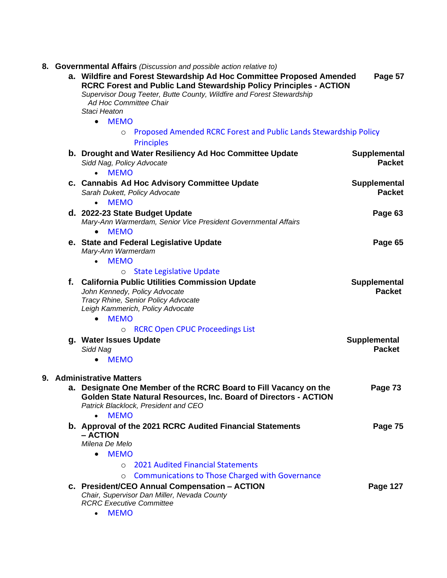|  | 8. Governmental Affairs (Discussion and possible action relative to)<br>a. Wildfire and Forest Stewardship Ad Hoc Committee Proposed Amended                                          | Page 57                       |  |
|--|---------------------------------------------------------------------------------------------------------------------------------------------------------------------------------------|-------------------------------|--|
|  | RCRC Forest and Public Land Stewardship Policy Principles - ACTION<br>Supervisor Doug Teeter, Butte County, Wildfire and Forest Stewardship<br>Ad Hoc Committee Chair<br>Staci Heaton |                               |  |
|  | • MEMO                                                                                                                                                                                |                               |  |
|  | Proposed Amended RCRC Forest and Public Lands Stewardship Policy<br>$\circ$                                                                                                           |                               |  |
|  | <b>Principles</b>                                                                                                                                                                     |                               |  |
|  | b. Drought and Water Resiliency Ad Hoc Committee Update<br>Sidd Nag, Policy Advocate                                                                                                  | Supplemental<br><b>Packet</b> |  |
|  | <b>MEMO</b><br>$\bullet$                                                                                                                                                              |                               |  |
|  | c. Cannabis Ad Hoc Advisory Committee Update<br>Sarah Dukett, Policy Advocate                                                                                                         | Supplemental<br><b>Packet</b> |  |
|  | <b>MEMO</b><br>$\bullet$                                                                                                                                                              |                               |  |
|  | d. 2022-23 State Budget Update<br>Mary-Ann Warmerdam, Senior Vice President Governmental Affairs                                                                                      | Page 63                       |  |
|  | <b>MEMO</b><br>$\bullet$                                                                                                                                                              |                               |  |
|  | e. State and Federal Legislative Update<br>Mary-Ann Warmerdam                                                                                                                         | Page 65                       |  |
|  | • MEMO                                                                                                                                                                                |                               |  |
|  | <b>State Legislative Update</b><br>$\circ$                                                                                                                                            |                               |  |
|  | f. California Public Utilities Commission Update                                                                                                                                      | <b>Supplemental</b>           |  |
|  | John Kennedy, Policy Advocate<br>Tracy Rhine, Senior Policy Advocate                                                                                                                  | <b>Packet</b>                 |  |
|  | Leigh Kammerich, Policy Advocate                                                                                                                                                      |                               |  |
|  | <b>MEMO</b><br>$\bullet$                                                                                                                                                              |                               |  |
|  | <b>RCRC Open CPUC Proceedings List</b><br>$\circ$                                                                                                                                     |                               |  |
|  | g. Water Issues Update                                                                                                                                                                | <b>Supplemental</b>           |  |
|  | Sidd Nag                                                                                                                                                                              | <b>Packet</b>                 |  |
|  | <b>MEMO</b>                                                                                                                                                                           |                               |  |
|  | 9. Administrative Matters                                                                                                                                                             |                               |  |
|  | a. Designate One Member of the RCRC Board to Fill Vacancy on the                                                                                                                      | Page 73                       |  |
|  | <b>Golden State Natural Resources, Inc. Board of Directors - ACTION</b><br>Patrick Blacklock, President and CEO                                                                       |                               |  |
|  | <b>MEMO</b><br>$\bullet$                                                                                                                                                              |                               |  |
|  | b. Approval of the 2021 RCRC Audited Financial Statements<br>- ACTION                                                                                                                 | Page 75                       |  |
|  | Milena De Melo                                                                                                                                                                        |                               |  |
|  | <b>MEMO</b><br>$\bullet$                                                                                                                                                              |                               |  |
|  | <b>2021 Audited Financial Statements</b><br>$\circ$                                                                                                                                   |                               |  |
|  | <b>Communications to Those Charged with Governance</b><br>O                                                                                                                           |                               |  |
|  | c. President/CEO Annual Compensation - ACTION                                                                                                                                         | Page 127                      |  |
|  | Chair, Supervisor Dan Miller, Nevada County<br><b>RCRC Executive Committee</b>                                                                                                        |                               |  |
|  | <b>MEMO</b><br>$\bullet$                                                                                                                                                              |                               |  |